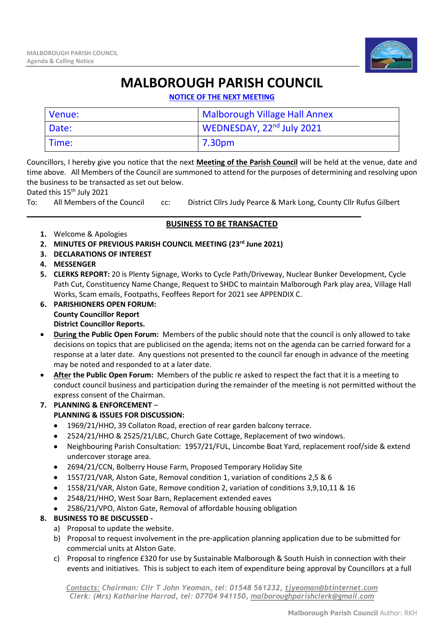

## **MALBOROUGH PARISH COUNCIL**

**NOTICE OF THE NEXT MEETING**

| Venue: | Malborough Village Hall Annex         |
|--------|---------------------------------------|
| Date:  | WEDNESDAY, 22 <sup>nd</sup> July 2021 |
| Time:  | 7.30pm                                |

Councillors, I hereby give you notice that the next **Meeting of the Parish Council** will be held at the venue, date and time above. All Members of the Council are summoned to attend for the purposes of determining and resolving upon the business to be transacted as set out below.

Dated this 15<sup>th</sup> July 2021

To: All Members of the Council cc: District Cllrs Judy Pearce & Mark Long, County Cllr Rufus Gilbert

\_\_\_\_\_\_\_\_\_\_\_\_\_\_\_\_\_\_\_\_\_\_\_\_\_\_\_\_\_\_\_\_\_\_\_\_\_\_\_\_\_\_\_\_\_\_\_\_\_\_\_\_\_\_\_\_\_\_\_\_\_\_\_\_\_\_\_\_\_\_\_\_\_\_\_

## **BUSINESS TO BE TRANSACTED**

- **1.** Welcome & Apologies
- **2. MINUTES OF PREVIOUS PARISH COUNCIL MEETING (23rd June 2021)**
- **3. DECLARATIONS OF INTEREST**
- **4. MESSENGER**
- **5. CLERKS REPORT:** 20 is Plenty Signage, Works to Cycle Path/Driveway, Nuclear Bunker Development, Cycle Path Cut, Constituency Name Change, Request to SHDC to maintain Malborough Park play area, Village Hall Works, Scam emails, Footpaths, Feoffees Report for 2021 see APPENDIX C.
- **6. PARISHIONERS OPEN FORUM: County Councillor Report District Councillor Reports.**
- **During the Public Open Forum:** Members of the public should note that the council is only allowed to take decisions on topics that are publicised on the agenda; items not on the agenda can be carried forward for a response at a later date. Any questions not presented to the council far enough in advance of the meeting may be noted and responded to at a later date.
- **After the Public Open Forum:** Members of the public re asked to respect the fact that it is a meeting to conduct council business and participation during the remainder of the meeting is not permitted without the express consent of the Chairman.
- **7. PLANNING & ENFORCEMENT PLANNING & ISSUES FOR DISCUSSION:**
	- 1969/21/HHO, 39 Collaton Road, erection of rear garden balcony terrace.
	- 2524/21/HHO & 2525/21/LBC, Church Gate Cottage, Replacement of two windows.
	- Neighbouring Parish Consultation: 1957/21/FUL, Lincombe Boat Yard, replacement roof/side & extend undercover storage area.
	- 2694/21/CCN, Bolberry House Farm, Proposed Temporary Holiday Site
	- 1557/21/VAR, Alston Gate, Removal condition 1, variation of conditions 2,5 & 6
	- 1558/21/VAR, Alston Gate, Remove condition 2, variation of conditions 3,9,10,11 & 16
	- 2548/21/HHO, West Soar Barn, Replacement extended eaves
	- 2586/21/VPO, Alston Gate, Removal of affordable housing obligation

## **8. BUSINESS TO BE DISCUSSED -**

- a) Proposal to update the website.
- b) Proposal to request involvement in the pre-application planning application due to be submitted for commercial units at Alston Gate.
- c) Proposal to ringfence £320 for use by Sustainable Malborough & South Huish in connection with their events and initiatives. This is subject to each item of expenditure being approval by Councillors at a full